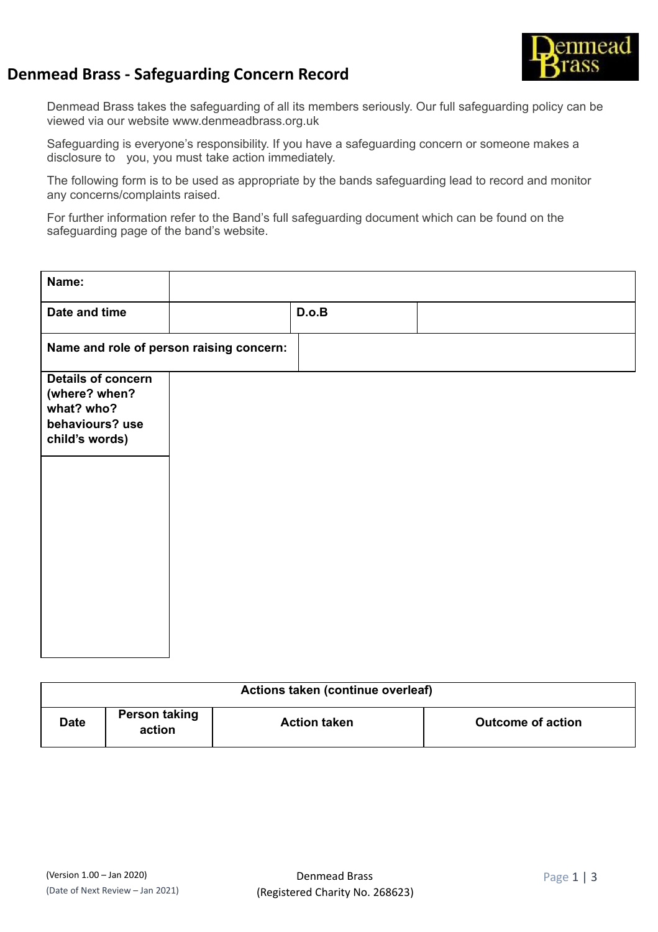

## **Denmead Brass - Safeguarding Concern Record**

Denmead Brass takes the safeguarding of all its members seriously. Our full safeguarding policy can be viewed via our website www.denmeadbrass.org.uk

Safeguarding is everyone's responsibility. If you have a safeguarding concern or someone makes a disclosure to you, you must take action immediately.

The following form is to be used as appropriate by the bands safeguarding lead to record and monitor any concerns/complaints raised.

For further information refer to the Band's full safeguarding document which can be found on the safeguarding page of the band's website.

| Name:                                                                                         |       |  |
|-----------------------------------------------------------------------------------------------|-------|--|
| Date and time                                                                                 | D.o.B |  |
| Name and role of person raising concern:                                                      |       |  |
| <b>Details of concern</b><br>(where? when?<br>what? who?<br>behaviours? use<br>child's words) |       |  |

| Actions taken (continue overleaf) |                         |                     |                          |
|-----------------------------------|-------------------------|---------------------|--------------------------|
| <b>Date</b>                       | Person taking<br>action | <b>Action taken</b> | <b>Outcome of action</b> |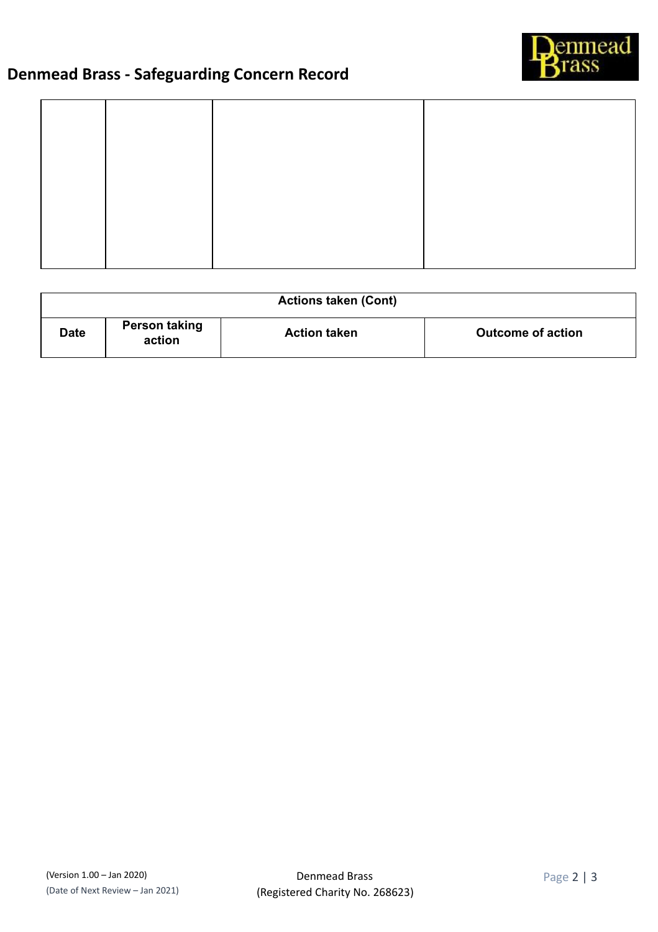

## **Denmead Brass - Safeguarding Concern Record**

| <b>Actions taken (Cont)</b> |                         |                     |                          |
|-----------------------------|-------------------------|---------------------|--------------------------|
| <b>Date</b>                 | Person taking<br>action | <b>Action taken</b> | <b>Outcome of action</b> |